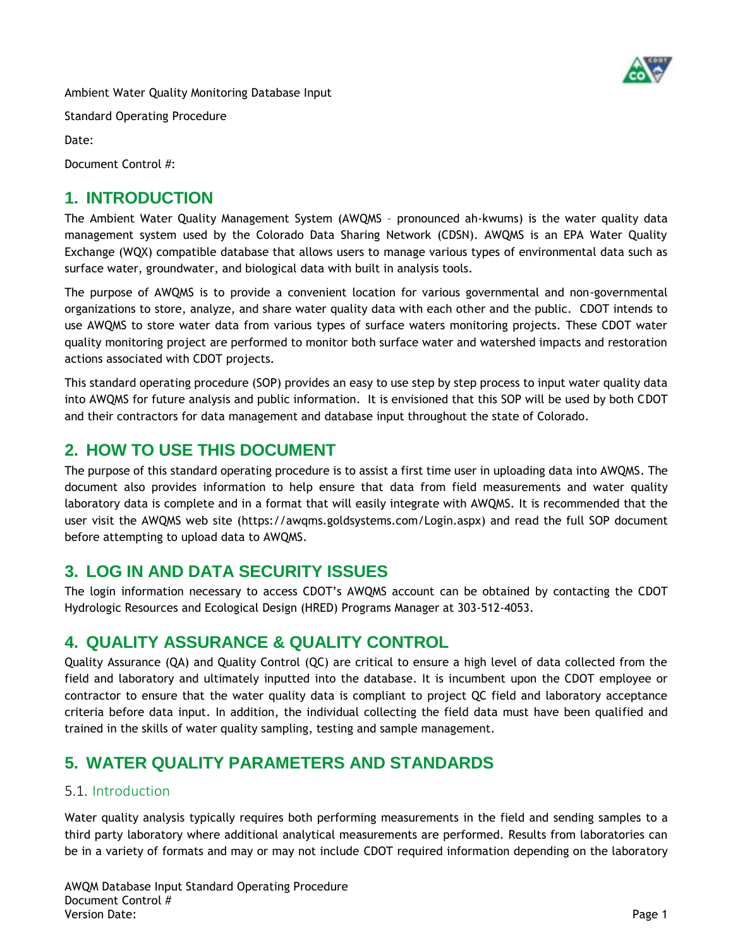

Ambient Water Quality Monitoring Database Input

Standard Operating Procedure

Date:

Document Control #:

## **1. INTRODUCTION**

The Ambient Water Quality Management System (AWQMS – pronounced ah-kwums) is the water quality data management system used by the Colorado Data Sharing Network (CDSN). AWQMS is an EPA Water Quality Exchange (WQX) compatible database that allows users to manage various types of environmental data such as surface water, groundwater, and biological data with built in analysis tools.

The purpose of AWQMS is to provide a convenient location for various governmental and non-governmental organizations to store, analyze, and share water quality data with each other and the public. CDOT intends to use AWQMS to store water data from various types of surface waters monitoring projects. These CDOT water quality monitoring project are performed to monitor both surface water and watershed impacts and restoration actions associated with CDOT projects.

This standard operating procedure (SOP) provides an easy to use step by step process to input water quality data into AWQMS for future analysis and public information. It is envisioned that this SOP will be used by both CDOT and their contractors for data management and database input throughout the state of Colorado.

# **2. HOW TO USE THIS DOCUMENT**

The purpose of this standard operating procedure is to assist a first time user in uploading data into AWQMS. The document also provides information to help ensure that data from field measurements and water quality laboratory data is complete and in a format that will easily integrate with AWQMS. It is recommended that the user visit the AWQMS web site (https://awqms.goldsystems.com/Login.aspx) and read the full SOP document before attempting to upload data to AWQMS.

## **3. LOG IN AND DATA SECURITY ISSUES**

The login information necessary to access CDOT's AWQMS account can be obtained by contacting the CDOT Hydrologic Resources and Ecological Design (HRED) Programs Manager at 303-512-4053.

## **4. QUALITY ASSURANCE & QUALITY CONTROL**

Quality Assurance (QA) and Quality Control (QC) are critical to ensure a high level of data collected from the field and laboratory and ultimately inputted into the database. It is incumbent upon the CDOT employee or contractor to ensure that the water quality data is compliant to project QC field and laboratory acceptance criteria before data input. In addition, the individual collecting the field data must have been qualified and trained in the skills of water quality sampling, testing and sample management.

## **5. WATER QUALITY PARAMETERS AND STANDARDS**

### 5.1. Introduction

Water quality analysis typically requires both performing measurements in the field and sending samples to a third party laboratory where additional analytical measurements are performed. Results from laboratories can be in a variety of formats and may or may not include CDOT required information depending on the laboratory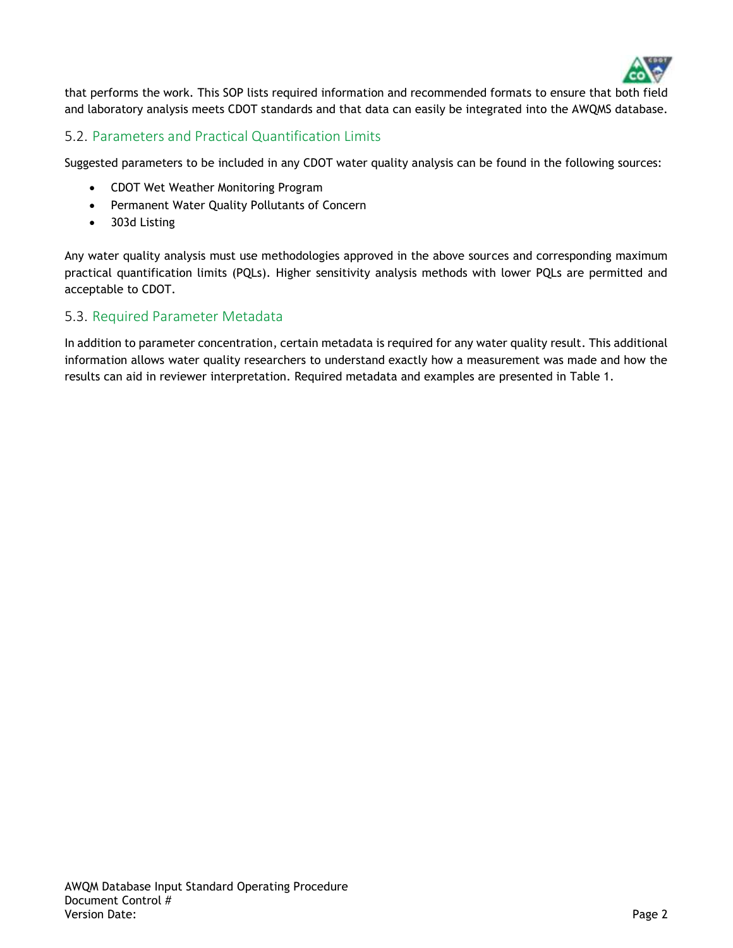

that performs the work. This SOP lists required information and recommended formats to ensure that both field and laboratory analysis meets CDOT standards and that data can easily be integrated into the AWQMS database.

#### 5.2. Parameters and Practical Quantification Limits

Suggested parameters to be included in any CDOT water quality analysis can be found in the following sources:

- CDOT Wet Weather Monitoring Program
- Permanent Water Quality Pollutants of Concern
- 303d Listing

Any water quality analysis must use methodologies approved in the above sources and corresponding maximum practical quantification limits (PQLs). Higher sensitivity analysis methods with lower PQLs are permitted and acceptable to CDOT.

#### 5.3. Required Parameter Metadata

In addition to parameter concentration, certain metadata is required for any water quality result. This additional information allows water quality researchers to understand exactly how a measurement was made and how the results can aid in reviewer interpretation. Required metadata and examples are presented in [Table 1.](#page-2-0)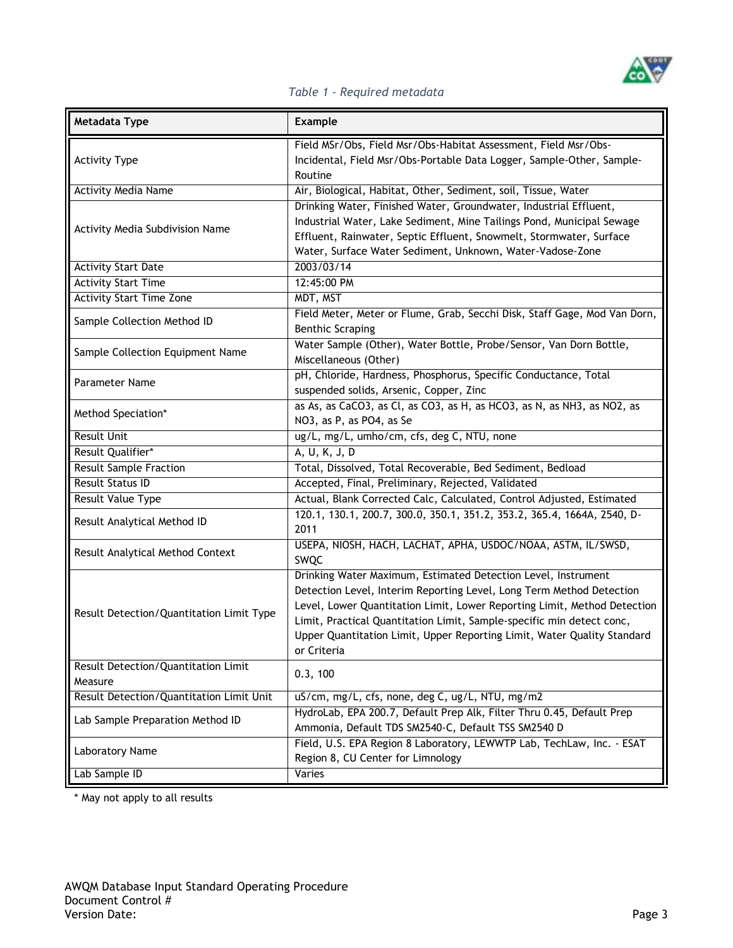

#### *Table 1 - Required metadata*

<span id="page-2-0"></span>

| <b>Metadata Type</b>                           | <b>Example</b>                                                                                                                                                                                                                                                                                                                                                                       |
|------------------------------------------------|--------------------------------------------------------------------------------------------------------------------------------------------------------------------------------------------------------------------------------------------------------------------------------------------------------------------------------------------------------------------------------------|
| <b>Activity Type</b>                           | Field MSr/Obs, Field Msr/Obs-Habitat Assessment, Field Msr/Obs-<br>Incidental, Field Msr/Obs-Portable Data Logger, Sample-Other, Sample-<br>Routine                                                                                                                                                                                                                                  |
| <b>Activity Media Name</b>                     | Air, Biological, Habitat, Other, Sediment, soil, Tissue, Water                                                                                                                                                                                                                                                                                                                       |
| Activity Media Subdivision Name                | Drinking Water, Finished Water, Groundwater, Industrial Effluent,<br>Industrial Water, Lake Sediment, Mine Tailings Pond, Municipal Sewage<br>Effluent, Rainwater, Septic Effluent, Snowmelt, Stormwater, Surface<br>Water, Surface Water Sediment, Unknown, Water-Vadose-Zone                                                                                                       |
| <b>Activity Start Date</b>                     | 2003/03/14                                                                                                                                                                                                                                                                                                                                                                           |
| <b>Activity Start Time</b>                     | 12:45:00 PM                                                                                                                                                                                                                                                                                                                                                                          |
| <b>Activity Start Time Zone</b>                | MDT, MST                                                                                                                                                                                                                                                                                                                                                                             |
| Sample Collection Method ID                    | Field Meter, Meter or Flume, Grab, Secchi Disk, Staff Gage, Mod Van Dorn,<br><b>Benthic Scraping</b>                                                                                                                                                                                                                                                                                 |
| Sample Collection Equipment Name               | Water Sample (Other), Water Bottle, Probe/Sensor, Van Dorn Bottle,<br>Miscellaneous (Other)                                                                                                                                                                                                                                                                                          |
| <b>Parameter Name</b>                          | pH, Chloride, Hardness, Phosphorus, Specific Conductance, Total<br>suspended solids, Arsenic, Copper, Zinc                                                                                                                                                                                                                                                                           |
| Method Speciation*                             | as As, as CaCO3, as Cl, as CO3, as H, as HCO3, as N, as NH3, as NO2, as<br>NO3, as P, as PO4, as Se                                                                                                                                                                                                                                                                                  |
| <b>Result Unit</b>                             | ug/L, mg/L, umho/cm, cfs, deg C, NTU, none                                                                                                                                                                                                                                                                                                                                           |
| Result Qualifier*                              | A, U, K, J, D                                                                                                                                                                                                                                                                                                                                                                        |
| <b>Result Sample Fraction</b>                  | Total, Dissolved, Total Recoverable, Bed Sediment, Bedload                                                                                                                                                                                                                                                                                                                           |
| <b>Result Status ID</b>                        | Accepted, Final, Preliminary, Rejected, Validated                                                                                                                                                                                                                                                                                                                                    |
| <b>Result Value Type</b>                       | Actual, Blank Corrected Calc, Calculated, Control Adjusted, Estimated                                                                                                                                                                                                                                                                                                                |
| Result Analytical Method ID                    | 120.1, 130.1, 200.7, 300.0, 350.1, 351.2, 353.2, 365.4, 1664A, 2540, D-<br>2011                                                                                                                                                                                                                                                                                                      |
| Result Analytical Method Context               | USEPA, NIOSH, HACH, LACHAT, APHA, USDOC/NOAA, ASTM, IL/SWSD,<br>SWQC                                                                                                                                                                                                                                                                                                                 |
| Result Detection/Quantitation Limit Type       | Drinking Water Maximum, Estimated Detection Level, Instrument<br>Detection Level, Interim Reporting Level, Long Term Method Detection<br>Level, Lower Quantitation Limit, Lower Reporting Limit, Method Detection<br>Limit, Practical Quantitation Limit, Sample-specific min detect conc,<br>Upper Quantitation Limit, Upper Reporting Limit, Water Quality Standard<br>or Criteria |
| Result Detection/Quantitation Limit<br>Measure | 0.3, 100                                                                                                                                                                                                                                                                                                                                                                             |
| Result Detection/Quantitation Limit Unit       | uS/cm, mg/L, cfs, none, deg C, ug/L, NTU, mg/m2                                                                                                                                                                                                                                                                                                                                      |
| Lab Sample Preparation Method ID               | HydroLab, EPA 200.7, Default Prep Alk, Filter Thru 0.45, Default Prep<br>Ammonia, Default TDS SM2540-C, Default TSS SM2540 D                                                                                                                                                                                                                                                         |
| Laboratory Name                                | Field, U.S. EPA Region 8 Laboratory, LEWWTP Lab, TechLaw, Inc. - ESAT<br>Region 8, CU Center for Limnology                                                                                                                                                                                                                                                                           |
| Lab Sample ID                                  | Varies                                                                                                                                                                                                                                                                                                                                                                               |

\* May not apply to all results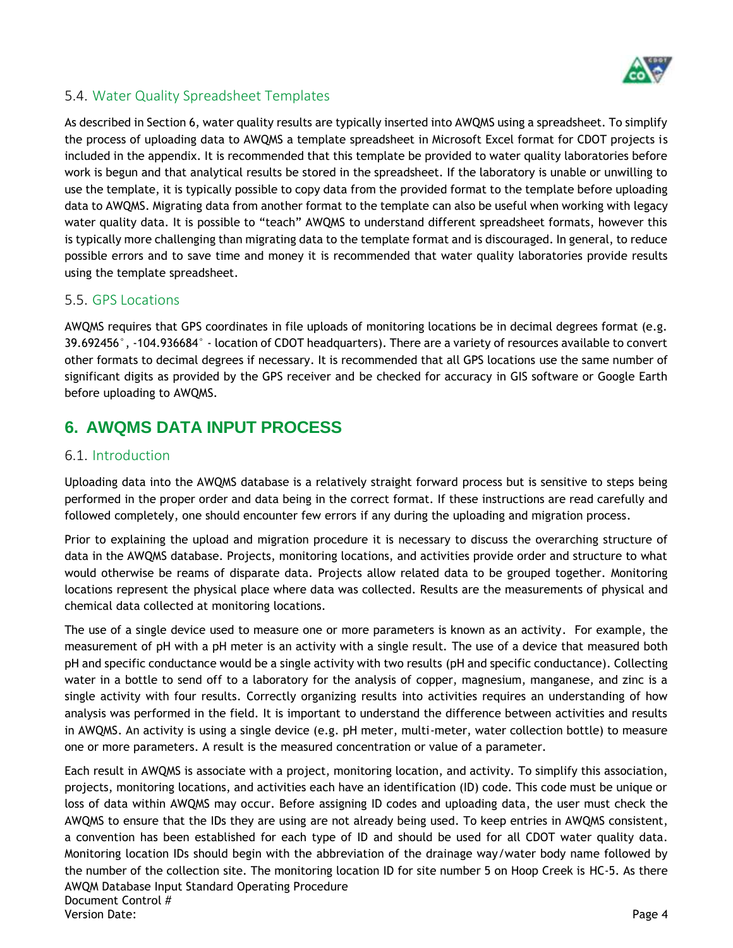

### 5.4. Water Quality Spreadsheet Templates

As described in Section 6, water quality results are typically inserted into AWQMS using a spreadsheet. To simplify the process of uploading data to AWQMS a template spreadsheet in Microsoft Excel format for CDOT projects is included in the appendix. It is recommended that this template be provided to water quality laboratories before work is begun and that analytical results be stored in the spreadsheet. If the laboratory is unable or unwilling to use the template, it is typically possible to copy data from the provided format to the template before uploading data to AWQMS. Migrating data from another format to the template can also be useful when working with legacy water quality data. It is possible to "teach" AWQMS to understand different spreadsheet formats, however this is typically more challenging than migrating data to the template format and is discouraged. In general, to reduce possible errors and to save time and money it is recommended that water quality laboratories provide results using the template spreadsheet.

#### 5.5. GPS Locations

AWQMS requires that GPS coordinates in file uploads of monitoring locations be in decimal degrees format (e.g. 39.692456°, -104.936684° - location of CDOT headquarters). There are a variety of resources available to convert other formats to decimal degrees if necessary. It is recommended that all GPS locations use the same number of significant digits as provided by the GPS receiver and be checked for accuracy in GIS software or Google Earth before uploading to AWQMS.

## **6. AWQMS DATA INPUT PROCESS**

#### <span id="page-3-0"></span>6.1. Introduction

Uploading data into the AWQMS database is a relatively straight forward process but is sensitive to steps being performed in the proper order and data being in the correct format. If these instructions are read carefully and followed completely, one should encounter few errors if any during the uploading and migration process.

Prior to explaining the upload and migration procedure it is necessary to discuss the overarching structure of data in the AWQMS database. Projects, monitoring locations, and activities provide order and structure to what would otherwise be reams of disparate data. Projects allow related data to be grouped together. Monitoring locations represent the physical place where data was collected. Results are the measurements of physical and chemical data collected at monitoring locations.

The use of a single device used to measure one or more parameters is known as an activity. For example, the measurement of pH with a pH meter is an activity with a single result. The use of a device that measured both pH and specific conductance would be a single activity with two results (pH and specific conductance). Collecting water in a bottle to send off to a laboratory for the analysis of copper, magnesium, manganese, and zinc is a single activity with four results. Correctly organizing results into activities requires an understanding of how analysis was performed in the field. It is important to understand the difference between activities and results in AWQMS. An activity is using a single device (e.g. pH meter, multi-meter, water collection bottle) to measure one or more parameters. A result is the measured concentration or value of a parameter.

AWQM Database Input Standard Operating Procedure Document Control # Version Date: Page 4 Each result in AWQMS is associate with a project, monitoring location, and activity. To simplify this association, projects, monitoring locations, and activities each have an identification (ID) code. This code must be unique or loss of data within AWQMS may occur. Before assigning ID codes and uploading data, the user must check the AWQMS to ensure that the IDs they are using are not already being used. To keep entries in AWQMS consistent, a convention has been established for each type of ID and should be used for all CDOT water quality data. Monitoring location IDs should begin with the abbreviation of the drainage way/water body name followed by the number of the collection site. The monitoring location ID for site number 5 on Hoop Creek is HC-5. As there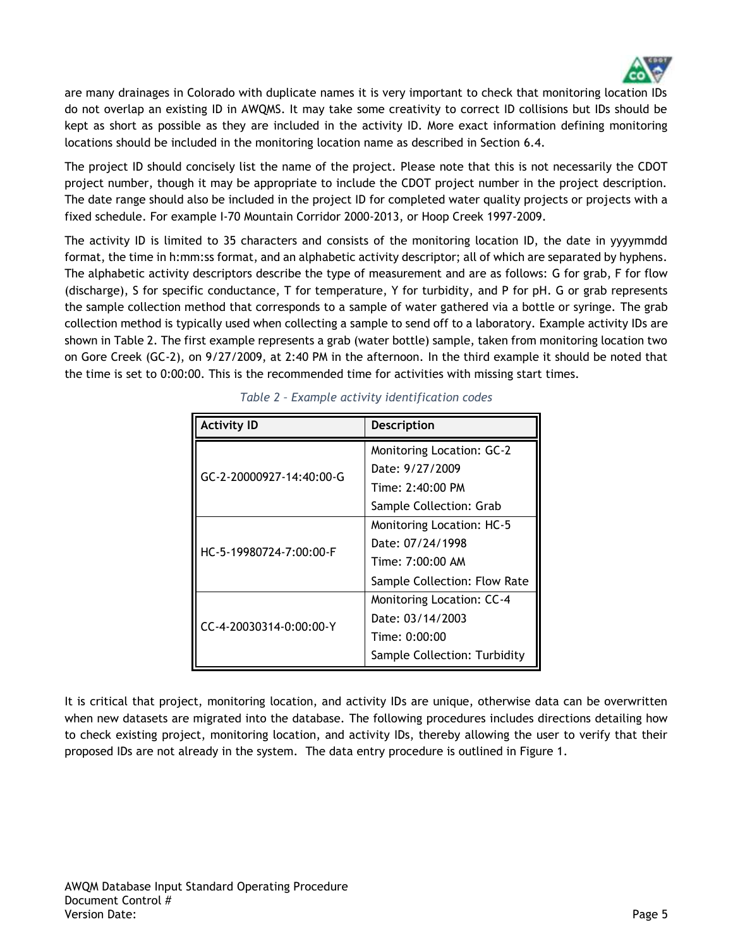

are many drainages in Colorado with duplicate names it is very important to check that monitoring location IDs do not overlap an existing ID in AWQMS. It may take some creativity to correct ID collisions but IDs should be kept as short as possible as they are included in the activity ID. More exact information defining monitoring locations should be included in the monitoring location name as described in Section 6.4.

The project ID should concisely list the name of the project. Please note that this is not necessarily the CDOT project number, though it may be appropriate to include the CDOT project number in the project description. The date range should also be included in the project ID for completed water quality projects or projects with a fixed schedule. For example I-70 Mountain Corridor 2000-2013, or Hoop Creek 1997-2009.

The activity ID is limited to 35 characters and consists of the monitoring location ID, the date in yyyymmdd format, the time in h:mm:ss format, and an alphabetic activity descriptor; all of which are separated by hyphens. The alphabetic activity descriptors describe the type of measurement and are as follows: G for grab, F for flow (discharge), S for specific conductance, T for temperature, Y for turbidity, and P for pH. G or grab represents the sample collection method that corresponds to a sample of water gathered via a bottle or syringe. The grab collection method is typically used when collecting a sample to send off to a laboratory. Example activity IDs are shown in Table 2. The first example represents a grab (water bottle) sample, taken from monitoring location two on Gore Creek (GC-2), on 9/27/2009, at 2:40 PM in the afternoon. In the third example it should be noted that the time is set to 0:00:00. This is the recommended time for activities with missing start times.

| <b>Activity ID</b>       | <b>Description</b>               |  |  |  |  |
|--------------------------|----------------------------------|--|--|--|--|
|                          | <b>Monitoring Location: GC-2</b> |  |  |  |  |
| GC-2-20000927-14:40:00-G | Date: 9/27/2009                  |  |  |  |  |
|                          | Time: 2:40:00 PM                 |  |  |  |  |
|                          | Sample Collection: Grab          |  |  |  |  |
|                          | <b>Monitoring Location: HC-5</b> |  |  |  |  |
| HC-5-19980724-7:00:00-F  | Date: 07/24/1998                 |  |  |  |  |
|                          | Time: 7:00:00 AM                 |  |  |  |  |
|                          | Sample Collection: Flow Rate     |  |  |  |  |
|                          | <b>Monitoring Location: CC-4</b> |  |  |  |  |
| CC-4-20030314-0:00:00-Y  | Date: 03/14/2003                 |  |  |  |  |
|                          | Time: 0:00:00                    |  |  |  |  |
|                          | Sample Collection: Turbidity     |  |  |  |  |

*Table 2 – Example activity identification codes*

It is critical that project, monitoring location, and activity IDs are unique, otherwise data can be overwritten when new datasets are migrated into the database. The following procedures includes directions detailing how to check existing project, monitoring location, and activity IDs, thereby allowing the user to verify that their proposed IDs are not already in the system. The data entry procedure is outlined in Figure 1.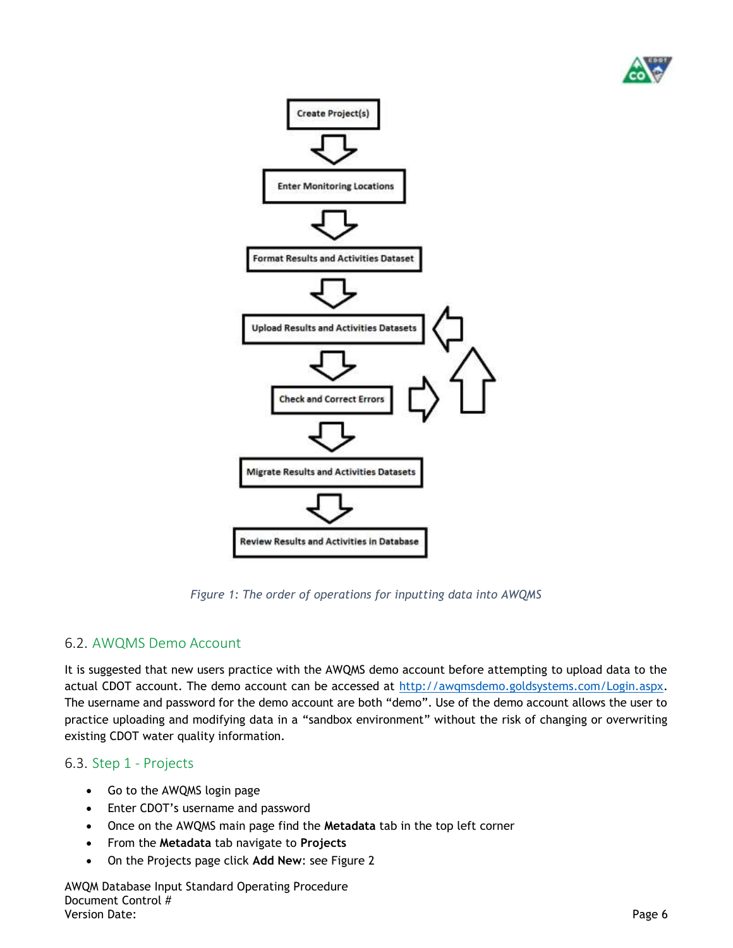



*Figure 1: The order of operations for inputting data into AWQMS*

### 6.2. AWQMS Demo Account

It is suggested that new users practice with the AWQMS demo account before attempting to upload data to the actual CDOT account. The demo account can be accessed at [http://awqmsdemo.goldsystems.com/Login.aspx.](http://awqmsdemo.goldsystems.com/Login.aspx) The username and password for the demo account are both "demo". Use of the demo account allows the user to practice uploading and modifying data in a "sandbox environment" without the risk of changing or overwriting existing CDOT water quality information.

### 6.3. Step 1 - Projects

- Go to the AWQMS login page
- Enter CDOT's username and password
- Once on the AWQMS main page find the **Metadata** tab in the top left corner
- From the **Metadata** tab navigate to **Projects**
- On the Projects page click **Add New**: see Figure 2

AWQM Database Input Standard Operating Procedure Document Control #<br>Version Date: Version Date: Page 6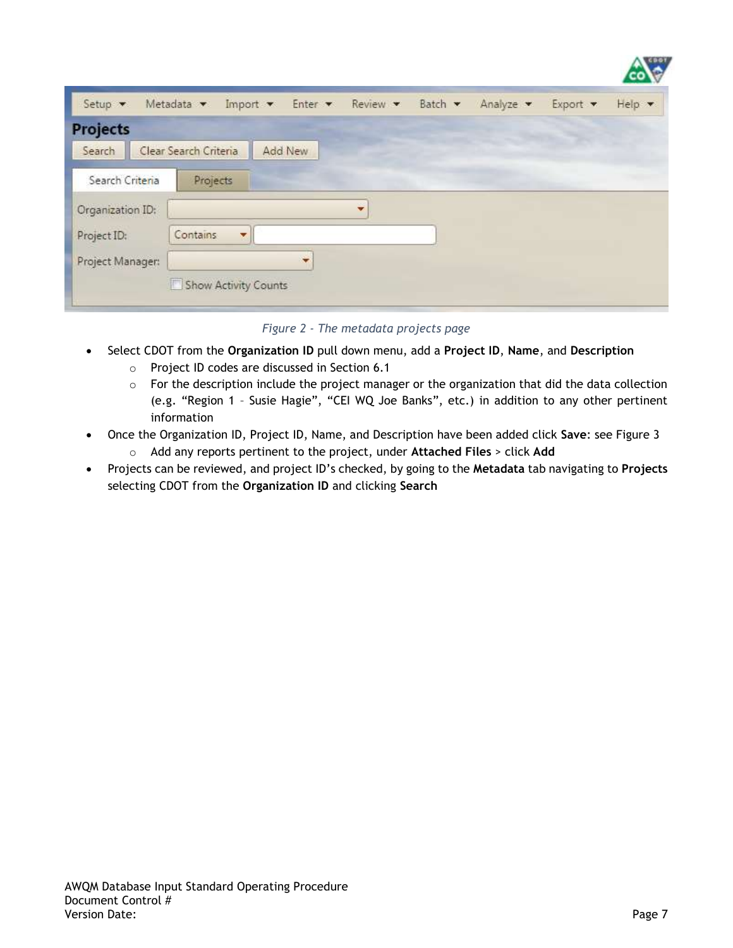| <b>Projects</b>  |                       |         |   |  |  |
|------------------|-----------------------|---------|---|--|--|
| Search           | Clear Search Criteria | Add New |   |  |  |
| Search Criteria  | Projects              |         |   |  |  |
| Organization ID: |                       |         | ÷ |  |  |
| Project ID:      | Contains<br>¥.        |         |   |  |  |
| Project Manager: |                       | ۰       |   |  |  |

*Figure 2 - The metadata projects page*

- Select CDOT from the **Organization ID** pull down menu, add a **Project ID**, **Name**, and **Description**
	- o Project ID codes are discussed in Section [6.1](#page-3-0)
	- $\circ$  For the description include the project manager or the organization that did the data collection (e.g. "Region 1 – Susie Hagie", "CEI WQ Joe Banks", etc.) in addition to any other pertinent information
- Once the Organization ID, Project ID, Name, and Description have been added click **Save**: see Figure 3 o Add any reports pertinent to the project, under **Attached Files** > click **Add**
- Projects can be reviewed, and project ID's checked, by going to the **Metadata** tab navigating to **Projects** selecting CDOT from the **Organization ID** and clicking **Search**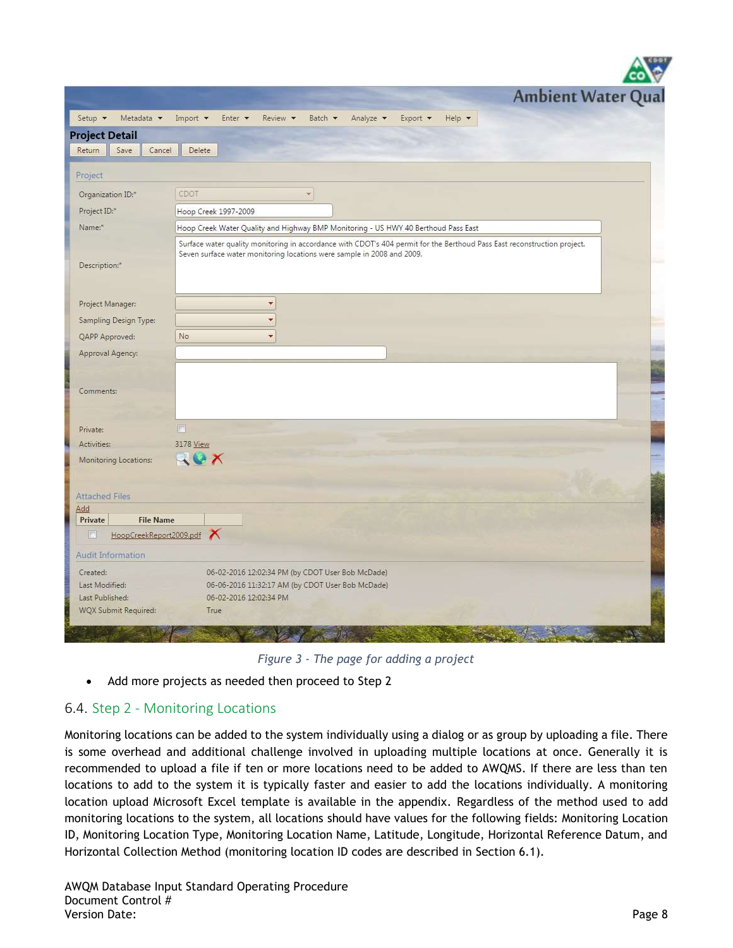|                                                                       | $\frac{1}{2}$                                                                                                                                                                                      |
|-----------------------------------------------------------------------|----------------------------------------------------------------------------------------------------------------------------------------------------------------------------------------------------|
|                                                                       | <b>Ambient Water Qual</b>                                                                                                                                                                          |
| Metadata v<br>Setup v                                                 | Analyze v<br>Import v<br>Enter v<br>Batch v<br>Export v<br>Help <b>v</b><br>Review •                                                                                                               |
| <b>Project Detail</b>                                                 |                                                                                                                                                                                                    |
| Save<br>Cancel<br>Return                                              | Delete                                                                                                                                                                                             |
| Project                                                               |                                                                                                                                                                                                    |
| Organization ID:*                                                     | CDOT<br>×.                                                                                                                                                                                         |
| Project ID:*                                                          | Hoop Creek 1997-2009                                                                                                                                                                               |
| Name:*                                                                | Hoop Creek Water Quality and Highway BMP Monitoring - US HWY 40 Berthoud Pass East                                                                                                                 |
| Description: <sup>+</sup>                                             | Surface water quality monitoring in accordance with CDOT's 404 permit for the Berthoud Pass East reconstruction project.<br>Seven surface water monitoring locations were sample in 2008 and 2009. |
| Project Manager:                                                      | ٠                                                                                                                                                                                                  |
| Sampling Design Type:                                                 | ۰                                                                                                                                                                                                  |
| QAPP Approved:                                                        | No<br>×                                                                                                                                                                                            |
| Approval Agency:                                                      |                                                                                                                                                                                                    |
| Comments:                                                             |                                                                                                                                                                                                    |
| Private:                                                              | $\overline{\mathbb{R}}$                                                                                                                                                                            |
| Activities:                                                           | 3178 View                                                                                                                                                                                          |
| Monitoring Locations:                                                 | ACX                                                                                                                                                                                                |
| <b>Attached Files</b>                                                 |                                                                                                                                                                                                    |
| Add<br><b>File Name</b><br>Private                                    |                                                                                                                                                                                                    |
| HoopCreekReport2009.pdf<br>O                                          |                                                                                                                                                                                                    |
| Audit Information                                                     |                                                                                                                                                                                                    |
| Created:<br>Last Modified:<br>Last Published:<br>WQX Submit Required: | 06-02-2016 12:02:34 PM (by CDOT User Bob McDade)<br>06-06-2016 11:32:17 AM (by CDOT User Bob McDade)<br>06-02-2016 12:02:34 PM<br>True                                                             |
|                                                                       |                                                                                                                                                                                                    |

*Figure 3 - The page for adding a project*

• Add more projects as needed then proceed to Step 2

## 6.4. Step 2 - Monitoring Locations

Monitoring locations can be added to the system individually using a dialog or as group by uploading a file. There is some overhead and additional challenge involved in uploading multiple locations at once. Generally it is recommended to upload a file if ten or more locations need to be added to AWQMS. If there are less than ten locations to add to the system it is typically faster and easier to add the locations individually. A monitoring location upload Microsoft Excel template is available in the appendix. Regardless of the method used to add monitoring locations to the system, all locations should have values for the following fields: Monitoring Location ID, Monitoring Location Type, Monitoring Location Name, Latitude, Longitude, Horizontal Reference Datum, and Horizontal Collection Method (monitoring location ID codes are described in Section [6.1\)](#page-3-0).

**VALUE A**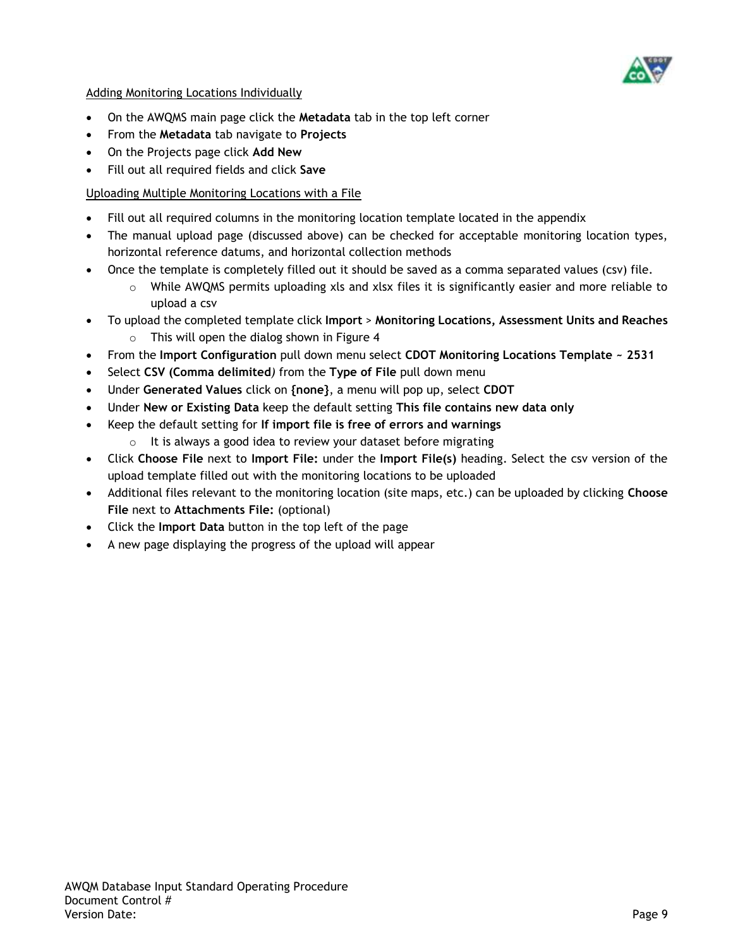

Adding Monitoring Locations Individually

- On the AWQMS main page click the **Metadata** tab in the top left corner
- From the **Metadata** tab navigate to **Projects**
- On the Projects page click **Add New**
- Fill out all required fields and click **Save**

### Uploading Multiple Monitoring Locations with a File

- Fill out all required columns in the monitoring location template located in the appendix
- The manual upload page (discussed above) can be checked for acceptable monitoring location types, horizontal reference datums, and horizontal collection methods
- Once the template is completely filled out it should be saved as a comma separated values (csv) file.
	- $\circ$  While AWQMS permits uploading xls and xlsx files it is significantly easier and more reliable to upload a csv
- To upload the completed template click **Import** > **Monitoring Locations, Assessment Units and Reaches** o This will open the dialog shown in Figure 4
- From the **Import Configuration** pull down menu select **CDOT Monitoring Locations Template ~ 2531**
- Select **CSV (Comma delimited***)* from the **Type of File** pull down menu
- Under **Generated Values** click on **{none}**, a menu will pop up, select **CDOT**
- Under **New or Existing Data** keep the default setting **This file contains new data only**
- Keep the default setting for **If import file is free of errors and warnings**
	- $\circ$  It is always a good idea to review your dataset before migrating
- Click **Choose File** next to **Import File:** under the **Import File(s)** heading. Select the csv version of the upload template filled out with the monitoring locations to be uploaded
- Additional files relevant to the monitoring location (site maps, etc.) can be uploaded by clicking **Choose File** next to **Attachments File:** (optional)
- Click the **Import Data** button in the top left of the page
- A new page displaying the progress of the upload will appear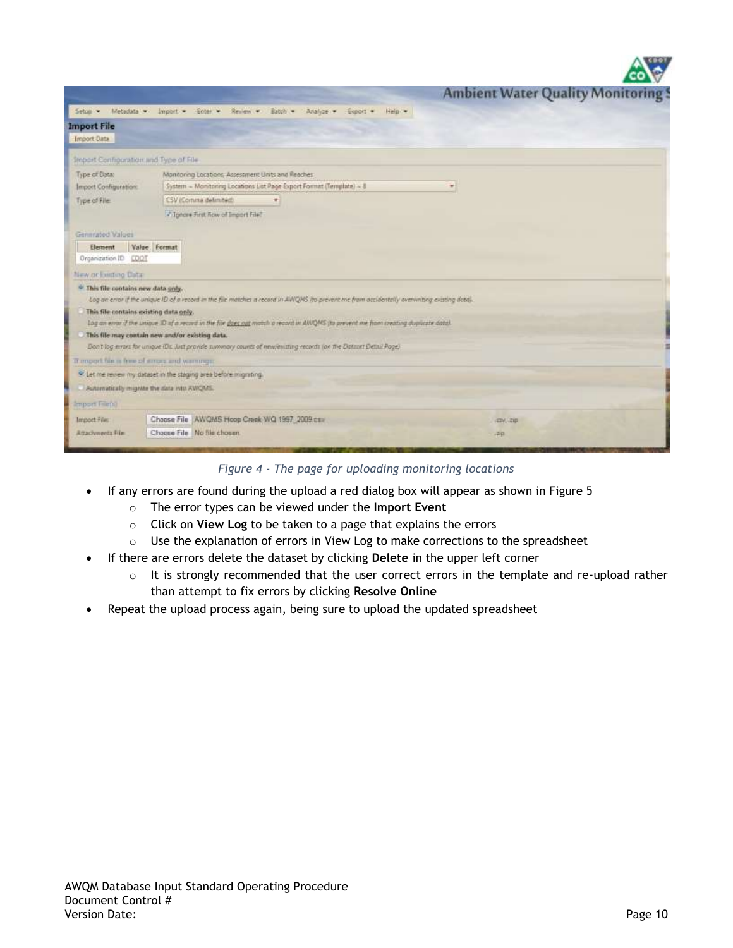|                                                | <b>Ambient Water Quality Monitoring!</b>                                                                                                    |
|------------------------------------------------|---------------------------------------------------------------------------------------------------------------------------------------------|
| Metadata v<br>Setup .                          | Enter<br>Review *<br>$lm$ port $-$<br>Batch -<br>Analyze: w                                                                                 |
| <b>Import File</b>                             | Export *<br>Hein ·                                                                                                                          |
| <b>Import Data</b>                             |                                                                                                                                             |
| Import Configuration and Type of File.         |                                                                                                                                             |
| Type of Data:                                  | Monitoring Locations, Assessment Units and Reaches                                                                                          |
| Import Configuration:                          | System - Monitoring Locations List Page Export Format (Template) ~ 8                                                                        |
| Type of File:                                  | CSV (Comma delimited)<br>۰                                                                                                                  |
|                                                | - Tonore First Row of Import File?                                                                                                          |
| Generated Values                               |                                                                                                                                             |
| Element                                        | Value: Format                                                                                                                               |
| Organization ID CDOT                           |                                                                                                                                             |
| New or fourting Data:                          |                                                                                                                                             |
| <sup>©</sup> This file contains new data only. | Log an error if the unique ID of a record in the file matches a record in AWQMS ho prevent me from accidentally overwriting existing data). |
| This file contains existing data only.         | Log an error if the unique 1D of a record in the fite daes not match a record in AN/QMS its prevent me from creating duplicate data!        |
|                                                | This file may contain new and/or existing data.                                                                                             |
|                                                | Don't log-mrart for unique (Dz. Just provide summary counts of new/existing records (on the Distance Detail Page)                           |
| If mood fair is free of impossing warmings:    |                                                                                                                                             |
|                                                | <sup>9</sup> Let me review my dataset in the staging area before migrating.                                                                 |
| Automatically migrate the data into AWQMS.     |                                                                                                                                             |
| Import File(s)                                 |                                                                                                                                             |
| Import File:                                   | Choose File AWQMS Hoop Creek WQ 1997_2009 car<br>icay, chip                                                                                 |
| Attachments File-                              | Choose File No file chosen<br>$700 -$                                                                                                       |
|                                                |                                                                                                                                             |

*Figure 4 - The page for uploading monitoring locations*

- If any errors are found during the upload a red dialog box will appear as shown in Figure 5
	- o The error types can be viewed under the **Import Event**
	- o Click on **View Log** to be taken to a page that explains the errors
	- $\circ$  Use the explanation of errors in View Log to make corrections to the spreadsheet
- If there are errors delete the dataset by clicking **Delete** in the upper left corner
	- $\circ$  It is strongly recommended that the user correct errors in the template and re-upload rather than attempt to fix errors by clicking **Resolve Online**
- Repeat the upload process again, being sure to upload the updated spreadsheet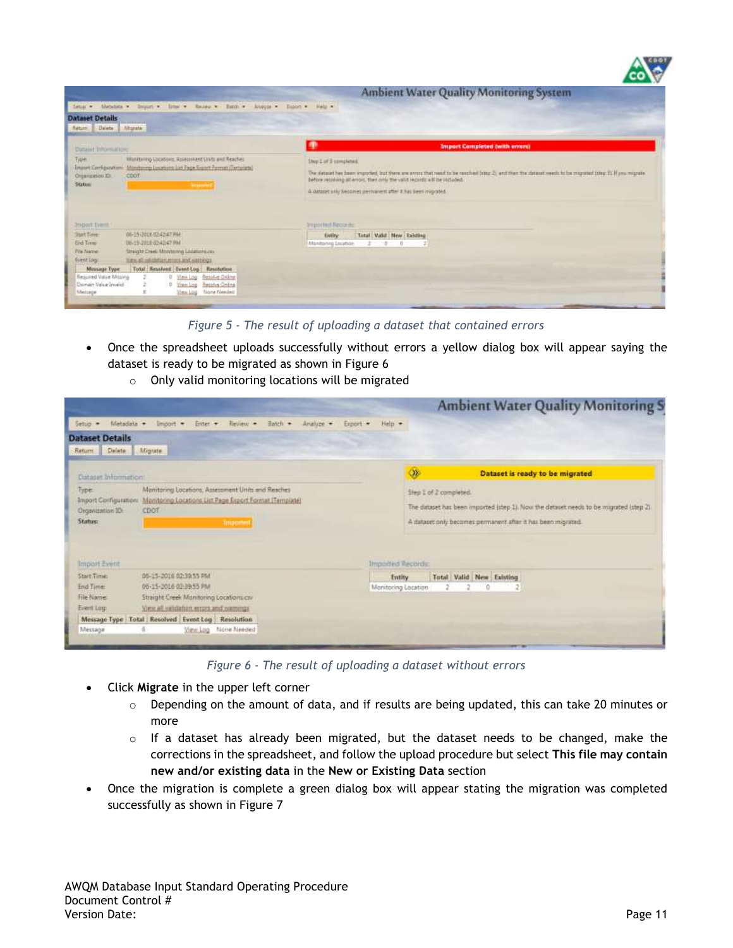

*Figure 5 - The result of uploading a dataset that contained errors*

- Once the spreadsheet uploads successfully without errors a yellow dialog box will appear saying the dataset is ready to be migrated as shown in Figure 6
	- o Only valid monitoring locations will be migrated

|                                           |                                                                      |                     | <b>Ambient Water Quality Monitoring S</b>                                             |
|-------------------------------------------|----------------------------------------------------------------------|---------------------|---------------------------------------------------------------------------------------|
| Metadata +<br>Setup -                     | Review -<br>Batch =<br>Enter +<br>Analyze -<br>limport =<br>Export - | Halp -              |                                                                                       |
| <b>Dataset Details</b>                    |                                                                      |                     |                                                                                       |
| Delete:<br>Return.                        | Migrate                                                              |                     |                                                                                       |
| Dataset Information:                      |                                                                      | $\infty$            | Dataset is ready to be migrated                                                       |
| Type:                                     | Manitoring Locations, Assessment Units and Reaches                   |                     | Step 1 of 2 completed.                                                                |
| Import Configuration:<br>Organization ID: | Monitoring Locations List Page Export Format (Template)<br>CDOT      |                     | The dataset has been imported (step 1). Now the dataset needs to be migrated (step 2) |
| <b>Status:</b>                            | <b>Importent</b>                                                     |                     | A dataset only becomes permanent after it has been migrated.                          |
|                                           |                                                                      |                     |                                                                                       |
|                                           |                                                                      |                     |                                                                                       |
| Import Event                              |                                                                      | Imported Records:   |                                                                                       |
| <b>Start Time:</b>                        | 05-15-2016 02:30:55 PM                                               | Entity              | Total Valid New Existing                                                              |
| End Time:<br>File Name:                   | 06-15-2016 03:39:55 PM                                               | Monitoring Location | $\circ$                                                                               |
|                                           | Straight Creek Monitoring Locations.cov                              |                     |                                                                                       |
| Event Log:                                | View all saldation errors and warnings                               |                     |                                                                                       |
|                                           | Message Type Total Resolved Event Log Resolution                     |                     |                                                                                       |
| Message                                   | None Needed<br>View Log                                              |                     |                                                                                       |

*Figure 6 - The result of uploading a dataset without errors*

- Click **Migrate** in the upper left corner
	- $\circ$  Depending on the amount of data, and if results are being updated, this can take 20 minutes or more
	- $\circ$  If a dataset has already been migrated, but the dataset needs to be changed, make the corrections in the spreadsheet, and follow the upload procedure but select **This file may contain new and/or existing data** in the **New or Existing Data** section
- Once the migration is complete a green dialog box will appear stating the migration was completed successfully as shown in Figure 7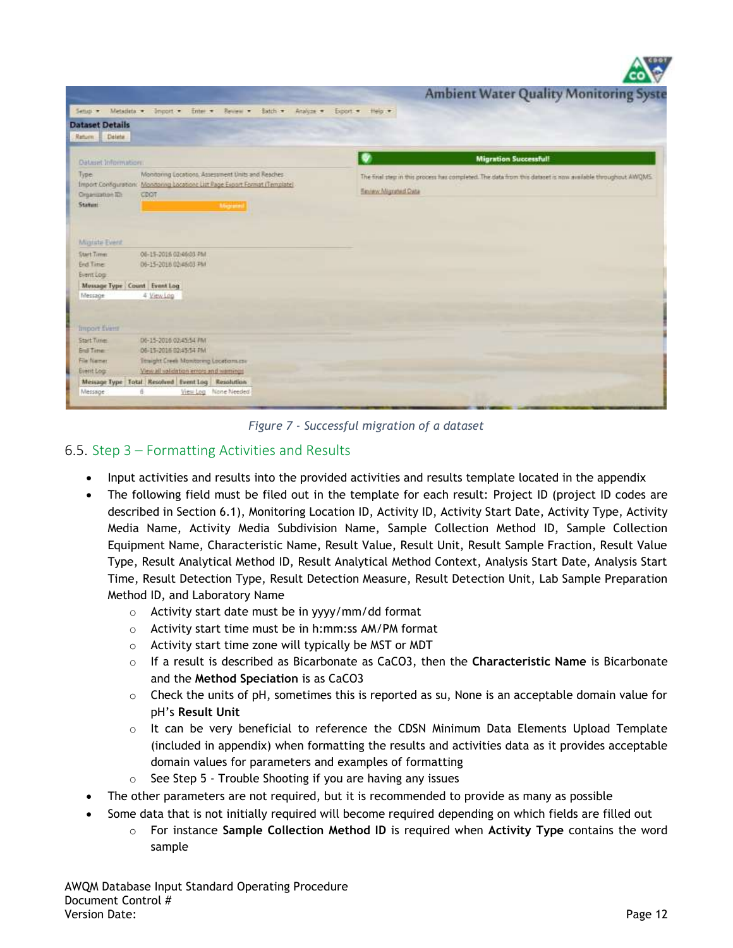| Setup > Metadata > Import > Enter > Review ><br>Analyze .-<br>Batch -<br>Heip ·<br>Export.<br>Delete:<br>Return<br><b>Migration Successful!</b><br><b>Oataset Information:</b><br>Monitoring Locations. Assessment Units and Reaches-<br>Type<br>The final step in this process has completed. The data from this dataset is now available throughout AWQMS.<br>Import Configuration: Monitoring Locations List Page Export Format (Template)<br>Emiew Migrated Data<br>Croancation TD:<br>CDOT<br><b>Status:</b><br>Magneset<br>Migrate Event<br><b>Start Times</b><br>06-15-2016 02:46:03 PM<br>06-15-2018 02:45:03 PM<br><b>End Time</b><br>Event Log<br>Message Type Count Event Log<br>4 View Log<br>Message<br>Import Evinn<br>Start Tune:<br>D6-15-2016 02:45:54 PM<br>06-15-2016 02:45:54 PM<br><b>End Time:</b><br>File Name:<br>Titraight Creek Monitoring Locations.com<br>View all validation enors and warnings<br>Event Log<br>Message Type Total Resolved Event Log Resolution<br>View Log None Needed<br>Message |                        |                                               |
|----------------------------------------------------------------------------------------------------------------------------------------------------------------------------------------------------------------------------------------------------------------------------------------------------------------------------------------------------------------------------------------------------------------------------------------------------------------------------------------------------------------------------------------------------------------------------------------------------------------------------------------------------------------------------------------------------------------------------------------------------------------------------------------------------------------------------------------------------------------------------------------------------------------------------------------------------------------------------------------------------------------------------------|------------------------|-----------------------------------------------|
|                                                                                                                                                                                                                                                                                                                                                                                                                                                                                                                                                                                                                                                                                                                                                                                                                                                                                                                                                                                                                                  |                        | <b>Ambient Water Quality Monitoring Syste</b> |
|                                                                                                                                                                                                                                                                                                                                                                                                                                                                                                                                                                                                                                                                                                                                                                                                                                                                                                                                                                                                                                  |                        |                                               |
|                                                                                                                                                                                                                                                                                                                                                                                                                                                                                                                                                                                                                                                                                                                                                                                                                                                                                                                                                                                                                                  | <b>Dataset Details</b> |                                               |
|                                                                                                                                                                                                                                                                                                                                                                                                                                                                                                                                                                                                                                                                                                                                                                                                                                                                                                                                                                                                                                  |                        |                                               |
|                                                                                                                                                                                                                                                                                                                                                                                                                                                                                                                                                                                                                                                                                                                                                                                                                                                                                                                                                                                                                                  |                        |                                               |
|                                                                                                                                                                                                                                                                                                                                                                                                                                                                                                                                                                                                                                                                                                                                                                                                                                                                                                                                                                                                                                  |                        |                                               |
|                                                                                                                                                                                                                                                                                                                                                                                                                                                                                                                                                                                                                                                                                                                                                                                                                                                                                                                                                                                                                                  |                        |                                               |
|                                                                                                                                                                                                                                                                                                                                                                                                                                                                                                                                                                                                                                                                                                                                                                                                                                                                                                                                                                                                                                  |                        |                                               |
|                                                                                                                                                                                                                                                                                                                                                                                                                                                                                                                                                                                                                                                                                                                                                                                                                                                                                                                                                                                                                                  |                        |                                               |
|                                                                                                                                                                                                                                                                                                                                                                                                                                                                                                                                                                                                                                                                                                                                                                                                                                                                                                                                                                                                                                  |                        |                                               |
|                                                                                                                                                                                                                                                                                                                                                                                                                                                                                                                                                                                                                                                                                                                                                                                                                                                                                                                                                                                                                                  |                        |                                               |
|                                                                                                                                                                                                                                                                                                                                                                                                                                                                                                                                                                                                                                                                                                                                                                                                                                                                                                                                                                                                                                  |                        |                                               |
|                                                                                                                                                                                                                                                                                                                                                                                                                                                                                                                                                                                                                                                                                                                                                                                                                                                                                                                                                                                                                                  |                        |                                               |
|                                                                                                                                                                                                                                                                                                                                                                                                                                                                                                                                                                                                                                                                                                                                                                                                                                                                                                                                                                                                                                  |                        |                                               |
|                                                                                                                                                                                                                                                                                                                                                                                                                                                                                                                                                                                                                                                                                                                                                                                                                                                                                                                                                                                                                                  |                        |                                               |
|                                                                                                                                                                                                                                                                                                                                                                                                                                                                                                                                                                                                                                                                                                                                                                                                                                                                                                                                                                                                                                  |                        |                                               |

*Figure 7 - Successful migration of a dataset*

### 6.5. Step 3 – Formatting Activities and Results

- Input activities and results into the provided activities and results template located in the appendix
- The following field must be filed out in the template for each result: Project ID (project ID codes are described in Section [6.1\)](#page-3-0), Monitoring Location ID, Activity ID, Activity Start Date, Activity Type, Activity Media Name, Activity Media Subdivision Name, Sample Collection Method ID, Sample Collection Equipment Name, Characteristic Name, Result Value, Result Unit, Result Sample Fraction, Result Value Type, Result Analytical Method ID, Result Analytical Method Context, Analysis Start Date, Analysis Start Time, Result Detection Type, Result Detection Measure, Result Detection Unit, Lab Sample Preparation Method ID, and Laboratory Name
	- o Activity start date must be in yyyy/mm/dd format
	- o Activity start time must be in h:mm:ss AM/PM format
	- o Activity start time zone will typically be MST or MDT
	- o If a result is described as Bicarbonate as CaCO3, then the **Characteristic Name** is Bicarbonate and the **Method Speciation** is as CaCO3
	- $\circ$  Check the units of pH, sometimes this is reported as su, None is an acceptable domain value for pH's **Result Unit**
	- $\circ$  It can be very beneficial to reference the CDSN Minimum Data Elements Upload Template (included in appendix) when formatting the results and activities data as it provides acceptable domain values for parameters and examples of formatting
	- $\circ$  See Step 5 Trouble Shooting if you are having any issues
- The other parameters are not required, but it is recommended to provide as many as possible
- Some data that is not initially required will become required depending on which fields are filled out
	- o For instance **Sample Collection Method ID** is required when **Activity Type** contains the word sample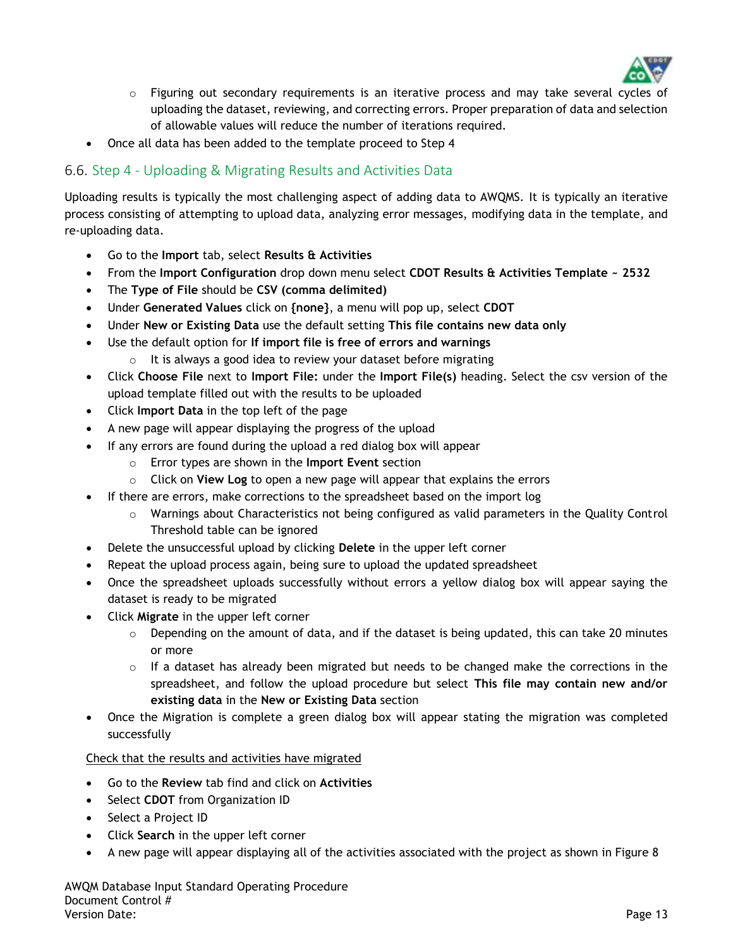

- o Figuring out secondary requirements is an iterative process and may take several cycles of uploading the dataset, reviewing, and correcting errors. Proper preparation of data and selection of allowable values will reduce the number of iterations required.
- Once all data has been added to the template proceed to Step 4

### 6.6. Step 4 - Uploading & Migrating Results and Activities Data

Uploading results is typically the most challenging aspect of adding data to AWQMS. It is typically an iterative process consisting of attempting to upload data, analyzing error messages, modifying data in the template, and re-uploading data.

- Go to the **Import** tab, select **Results & Activities**
- From the **Import Configuration** drop down menu select **CDOT Results & Activities Template ~ 2532**
- The **Type of File** should be **CSV (comma delimited)**
- Under **Generated Values** click on **{none}**, a menu will pop up, select **CDOT**
- Under **New or Existing Data** use the default setting **This file contains new data only**
- Use the default option for **If import file is free of errors and warnings**
	- $\circ$  It is always a good idea to review your dataset before migrating
- Click **Choose File** next to **Import File:** under the **Import File(s)** heading. Select the csv version of the upload template filled out with the results to be uploaded
- Click **Import Data** in the top left of the page
- A new page will appear displaying the progress of the upload
- If any errors are found during the upload a red dialog box will appear
	- o Error types are shown in the **Import Event** section
	- o Click on **View Log** to open a new page will appear that explains the errors
- If there are errors, make corrections to the spreadsheet based on the import log
	- o Warnings about Characteristics not being configured as valid parameters in the Quality Control Threshold table can be ignored
- Delete the unsuccessful upload by clicking **Delete** in the upper left corner
- Repeat the upload process again, being sure to upload the updated spreadsheet
- Once the spreadsheet uploads successfully without errors a yellow dialog box will appear saying the dataset is ready to be migrated
- Click **Migrate** in the upper left corner
	- $\circ$  Depending on the amount of data, and if the dataset is being updated, this can take 20 minutes or more
	- $\circ$  If a dataset has already been migrated but needs to be changed make the corrections in the spreadsheet, and follow the upload procedure but select **This file may contain new and/or existing data** in the **New or Existing Data** section
- Once the Migration is complete a green dialog box will appear stating the migration was completed successfully

Check that the results and activities have migrated

- Go to the **Review** tab find and click on **Activities**
- **•** Select CDOT from Organization ID
- Select a Project ID
- Click **Search** in the upper left corner
- A new page will appear displaying all of the activities associated with the project as shown in Figure 8

AWQM Database Input Standard Operating Procedure Document Control # Version Date: Page 13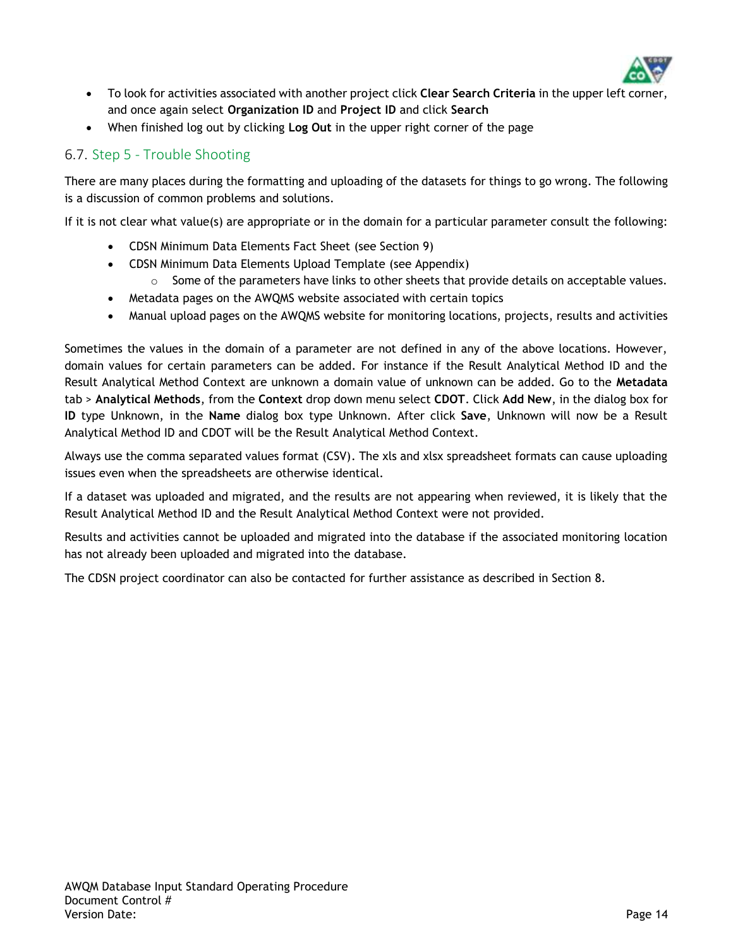

- To look for activities associated with another project click **Clear Search Criteria** in the upper left corner, and once again select **Organization ID** and **Project ID** and click **Search**
- When finished log out by clicking **Log Out** in the upper right corner of the page

### 6.7. Step 5 - Trouble Shooting

There are many places during the formatting and uploading of the datasets for things to go wrong. The following is a discussion of common problems and solutions.

If it is not clear what value(s) are appropriate or in the domain for a particular parameter consult the following:

- CDSN Minimum Data Elements Fact Sheet (see Section 9)
- CDSN Minimum Data Elements Upload Template (see Appendix)
	- $\circ$  Some of the parameters have links to other sheets that provide details on acceptable values.
- Metadata pages on the AWQMS website associated with certain topics
- Manual upload pages on the AWQMS website for monitoring locations, projects, results and activities

Sometimes the values in the domain of a parameter are not defined in any of the above locations. However, domain values for certain parameters can be added. For instance if the Result Analytical Method ID and the Result Analytical Method Context are unknown a domain value of unknown can be added. Go to the **Metadata** tab > **Analytical Methods**, from the **Context** drop down menu select **CDOT**. Click **Add New**, in the dialog box for **ID** type Unknown, in the **Name** dialog box type Unknown. After click **Save**, Unknown will now be a Result Analytical Method ID and CDOT will be the Result Analytical Method Context.

Always use the comma separated values format (CSV). The xls and xlsx spreadsheet formats can cause uploading issues even when the spreadsheets are otherwise identical.

If a dataset was uploaded and migrated, and the results are not appearing when reviewed, it is likely that the Result Analytical Method ID and the Result Analytical Method Context were not provided.

Results and activities cannot be uploaded and migrated into the database if the associated monitoring location has not already been uploaded and migrated into the database.

The CDSN project coordinator can also be contacted for further assistance as described in Section [8.](#page-15-0)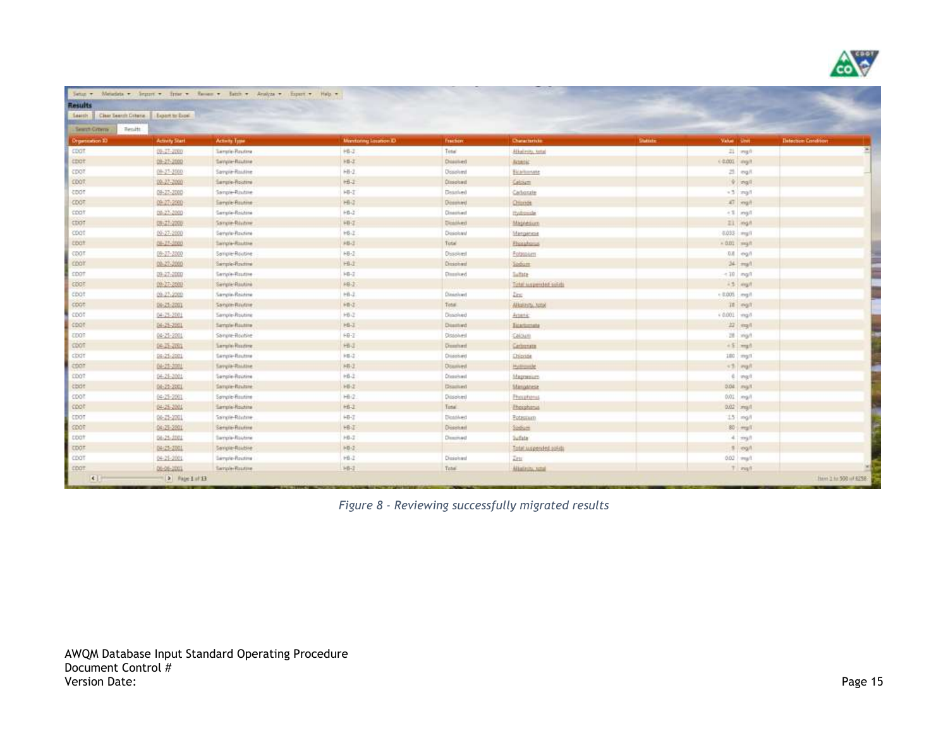

| Results                    |                                        |                        |                      |                  |                        |           |                         |                              |
|----------------------------|----------------------------------------|------------------------|----------------------|------------------|------------------------|-----------|-------------------------|------------------------------|
| Seattly 1                  | Clear Search Cotana   Export to Expel- |                        |                      |                  |                        |           |                         |                              |
| Search Crowns<br>Tienatti: |                                        |                        |                      |                  |                        |           |                         |                              |
| <b>Drigenstation 37</b>    | Activity Start                         | Activity Type          | Manitoning Laudion D | fraction         | Changetombie           | Statistic | Value Linet             | <b>Illetection Condition</b> |
| COOT                       | $09 - 17 - 030$                        | Sample-Routing         | HB-2                 | Titler           | Alkelmity, total       |           | 21 mg/h                 |                              |
| <b>CDOT</b>                | 09-27-2000                             | Service-Routine        | <b>HB-Z</b>          | Discoved         | Announ                 |           | $+0.001$ mg/f           |                              |
| CDOT.                      | 09-27-2000                             | Sargie Raidine         | HB-2                 | Dissolved        | Bicaritoriate          |           | 21 mg/l                 |                              |
| <b>CDOT</b>                | 09-22-2000                             | Sargia-Rootine         | HB-2                 | Dissolved        | Calcium                |           | $9$ $mgl$               |                              |
| TOOT                       | 09-27-2000                             | Sangle-Routine         | HI-T                 | Dissolved        | Carbonate              |           | $-3$ $ mpl$             |                              |
| <b>CDOT</b>                | 09-27-2000                             | Sample-Routine         | Hill                 | Dosewed          | <b>Officials</b>       |           | Fight 13.               |                              |
| coat                       | 09-27-2000                             | Sample-Routine         | $HB-2$               | Cisactived       | mutrosizle             |           | $+1$ mail               |                              |
| CDOT                       | 09:27:2000                             | Sangie-Ristore         | HH-Z                 | Disablved        | Magnesium              |           | El mail                 |                              |
| CDOT                       | 09-27-2000                             | Semple-Routine         | HB-I                 | Disiskant        | Marganese              |           | $0.033$ $~\text{mg}$ /1 |                              |
| toot                       | 08-27-2000                             | Sample-Routove         | 川山                   | Total            | Fhisiphones            |           | $=0.01$ mg/t            |                              |
| CDOT.                      | 09-27-2000                             | Seriple-Routine        | HB-2                 | Disolved         | Fotessien              |           | Tug-in-10               |                              |
| CDOT                       | 09-27-2000                             | <b>Sample-Routine</b>  | HB-2                 | Dissolvent       | <b>Todom</b>           |           | $34$ $myl$              |                              |
| <b>CDOT</b>                | 09.27.2000                             | Sample-Routine         | 141-2                | Dissolved.       | latate                 |           | $-10$ mg/l              |                              |
| <b>COOT</b>                | 09-27-2000                             | Sergie Routini         | HB-1                 |                  | Total suspended solida |           | is mult                 |                              |
| cpot                       | 09-27-2000                             | Sample-Rojdine         | $H8-2$               | Dissiplyed       | Zinc.                  |           | - 0.005 mg/l            |                              |
| COOT                       | 09:25:2001                             | Sangle-Rayfare         | HF-2                 | Total            | Albason, Jose          |           | If mg/l                 |                              |
| TOOT                       | 04-25-2001                             | Sample-Routing         | 师记                   | Dissolved        | Artenic                |           | $40001 - mg$            |                              |
| TOOT                       | 04-25-2001                             | Sample-Routine         | HB-Z                 | Diselved         | <b>Biochemeter</b>     |           | Tigm. 12                |                              |
| <b>CDOT</b>                | 04-25-2001                             | Sangre-Routine         | HB-T                 | Disaplvest       | Calcium                |           | 28 mg/t                 |                              |
| <b>COOT</b>                | 04-25-2001                             | Sarphy Routine         | Hill                 | Daughed          | Geboren                |           | $+5$ mult               |                              |
| CDOT                       | 04-25-2001                             | Sancie-Routone         | HB-2                 | Drisolved        | Disnie                 |           | $100$ $mgl$             |                              |
| COOT                       | 04-25-2001                             | <b>Savoie-Rinkline</b> | HE2                  | <b>Downvest</b>  | Hythosophe             |           | $+1$ mult               |                              |
| <b>TDOT</b>                | 04-25-2001                             | Sample-Routine         | HB-2                 | <b>Chronived</b> | Magnesium              |           | $E = \pi r g / l$       |                              |
| coot                       | 06-25-2001                             | Sample-Rinzbire        | HB-2                 | Disamued         | Stanganese             |           | 0.04 mg/t               |                              |
| TOOT:                      | 04-25-2001                             | Servole-Routine        | HB/2                 | Dissolved        | Phrophonus             |           | 001 mg/l                |                              |
| 1007                       | 04-25-2001                             | Sample-Routine         | <b>HB-2</b>          | Tizta:           | <b>Holphonia</b>       |           | but mult                |                              |
| CDOT                       | 06:25:2001                             | Sangle-Röutine         | HB-Z                 | Dicatived        | Estaurant              |           | $15$ mg/l               |                              |
| SDOT:                      | 04:25-2001                             | Serure-Routine         | HB-I                 | Dischert         | Sobiet                 |           | $80$ $m_{\text{B}}/V$   |                              |
| <b>LDOT</b>                | 04-25-2001                             | Sample-Routine         | HB-2                 | Dasmyed          | Sufate:                |           | $4$ mill                |                              |
| <b>CDOT</b>                | 84-25-2001                             | Seriple-Routine        | HB-I                 |                  | Total Auspended solids |           | $9$ mg/l                |                              |
| CDOT                       | 04-25-2001                             | Sample-Routina         | HELL                 | Dissolved        | Atts:                  |           | 0.02 mult               |                              |
| <b>COOT</b>                | 06-06-2003                             | Sariole-Routive        | 10-2                 | Total:           | Allafairs, small       |           | T mult                  |                              |

*Figure 8 - Reviewing successfully migrated results*

AWQM Database Input Standard Operating Procedure Document Control # Version Date: Page 15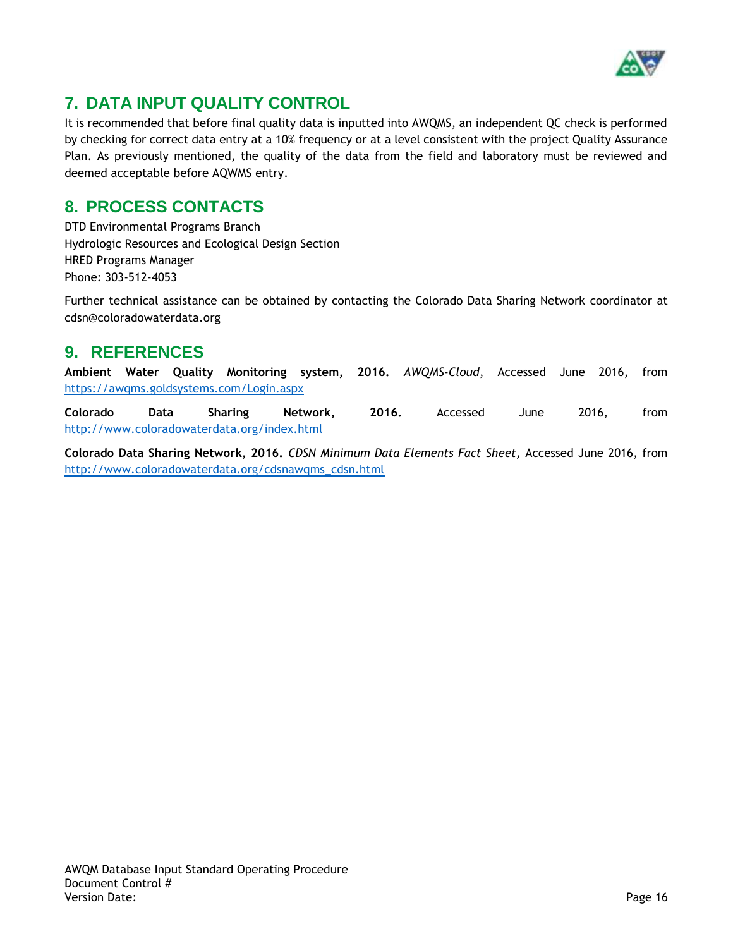

# **7. DATA INPUT QUALITY CONTROL**

It is recommended that before final quality data is inputted into AWQMS, an independent QC check is performed by checking for correct data entry at a 10% frequency or at a level consistent with the project Quality Assurance Plan. As previously mentioned, the quality of the data from the field and laboratory must be reviewed and deemed acceptable before AQWMS entry.

## <span id="page-15-0"></span>**8. PROCESS CONTACTS**

DTD Environmental Programs Branch Hydrologic Resources and Ecological Design Section HRED Programs Manager Phone: 303-512-4053

Further technical assistance can be obtained by contacting the Colorado Data Sharing Network coordinator at cdsn@coloradowaterdata.org

## **9. REFERENCES**

**Ambient Water Quality Monitoring system, 2016.** *AWQMS-Cloud*, Accessed June 2016, from <https://awqms.goldsystems.com/Login.aspx>

**Colorado Data Sharing Network, 2016.** Accessed June 2016, from <http://www.coloradowaterdata.org/index.html>

**Colorado Data Sharing Network, 2016.** *CDSN Minimum Data Elements Fact Sheet,* Accessed June 2016, from [http://www.coloradowaterdata.org/cdsnawqms\\_cdsn.html](http://www.coloradowaterdata.org/cdsnawqms_cdsn.html)